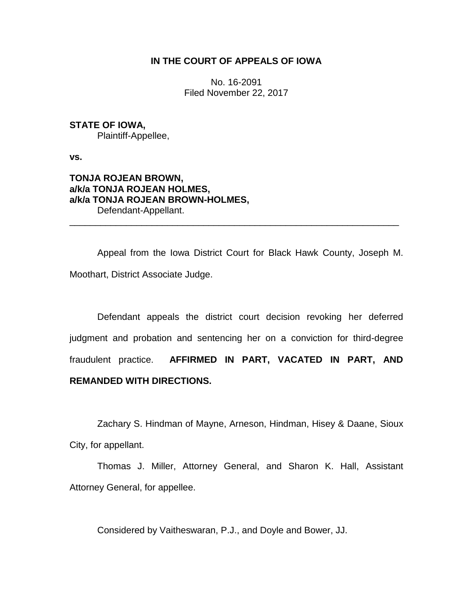## **IN THE COURT OF APPEALS OF IOWA**

No. 16-2091 Filed November 22, 2017

# **STATE OF IOWA,**

Plaintiff-Appellee,

**vs.**

## **TONJA ROJEAN BROWN, a/k/a TONJA ROJEAN HOLMES, a/k/a TONJA ROJEAN BROWN-HOLMES,** Defendant-Appellant.

Appeal from the Iowa District Court for Black Hawk County, Joseph M. Moothart, District Associate Judge.

\_\_\_\_\_\_\_\_\_\_\_\_\_\_\_\_\_\_\_\_\_\_\_\_\_\_\_\_\_\_\_\_\_\_\_\_\_\_\_\_\_\_\_\_\_\_\_\_\_\_\_\_\_\_\_\_\_\_\_\_\_\_\_\_

Defendant appeals the district court decision revoking her deferred judgment and probation and sentencing her on a conviction for third-degree fraudulent practice. **AFFIRMED IN PART, VACATED IN PART, AND REMANDED WITH DIRECTIONS.**

Zachary S. Hindman of Mayne, Arneson, Hindman, Hisey & Daane, Sioux City, for appellant.

Thomas J. Miller, Attorney General, and Sharon K. Hall, Assistant Attorney General, for appellee.

Considered by Vaitheswaran, P.J., and Doyle and Bower, JJ.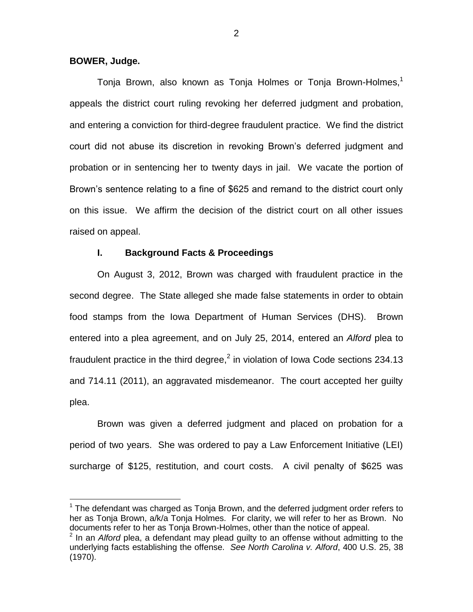#### **BOWER, Judge.**

 $\overline{a}$ 

Tonja Brown, also known as Tonja Holmes or Tonja Brown-Holmes, $1$ appeals the district court ruling revoking her deferred judgment and probation, and entering a conviction for third-degree fraudulent practice. We find the district court did not abuse its discretion in revoking Brown's deferred judgment and probation or in sentencing her to twenty days in jail. We vacate the portion of Brown's sentence relating to a fine of \$625 and remand to the district court only on this issue. We affirm the decision of the district court on all other issues raised on appeal.

#### **I. Background Facts & Proceedings**

On August 3, 2012, Brown was charged with fraudulent practice in the second degree. The State alleged she made false statements in order to obtain food stamps from the Iowa Department of Human Services (DHS). Brown entered into a plea agreement, and on July 25, 2014, entered an *Alford* plea to fraudulent practice in the third degree,<sup>2</sup> in violation of Iowa Code sections 234.13 and 714.11 (2011), an aggravated misdemeanor. The court accepted her guilty plea.

Brown was given a deferred judgment and placed on probation for a period of two years. She was ordered to pay a Law Enforcement Initiative (LEI) surcharge of \$125, restitution, and court costs. A civil penalty of \$625 was

 $1$  The defendant was charged as Tonja Brown, and the deferred judgment order refers to her as Tonja Brown, a/k/a Tonja Holmes. For clarity, we will refer to her as Brown. No documents refer to her as Tonja Brown-Holmes, other than the notice of appeal.

<sup>2</sup> In an *Alford* plea, a defendant may plead guilty to an offense without admitting to the underlying facts establishing the offense. *See North Carolina v. Alford*, 400 U.S. 25, 38 (1970).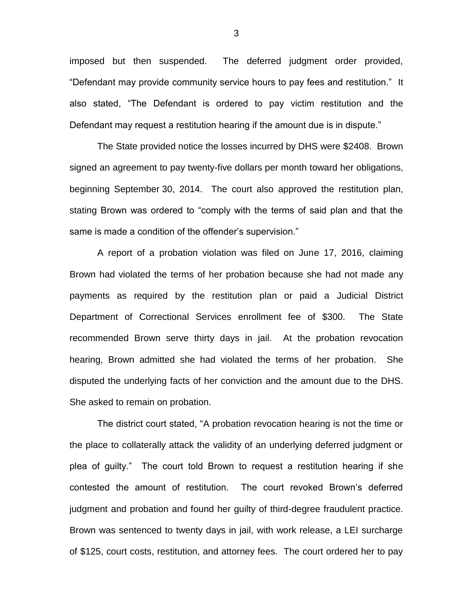imposed but then suspended. The deferred judgment order provided, "Defendant may provide community service hours to pay fees and restitution." It also stated, "The Defendant is ordered to pay victim restitution and the Defendant may request a restitution hearing if the amount due is in dispute."

The State provided notice the losses incurred by DHS were \$2408. Brown signed an agreement to pay twenty-five dollars per month toward her obligations, beginning September 30, 2014. The court also approved the restitution plan, stating Brown was ordered to "comply with the terms of said plan and that the same is made a condition of the offender's supervision."

A report of a probation violation was filed on June 17, 2016, claiming Brown had violated the terms of her probation because she had not made any payments as required by the restitution plan or paid a Judicial District Department of Correctional Services enrollment fee of \$300. The State recommended Brown serve thirty days in jail. At the probation revocation hearing, Brown admitted she had violated the terms of her probation. She disputed the underlying facts of her conviction and the amount due to the DHS. She asked to remain on probation.

The district court stated, "A probation revocation hearing is not the time or the place to collaterally attack the validity of an underlying deferred judgment or plea of guilty." The court told Brown to request a restitution hearing if she contested the amount of restitution. The court revoked Brown's deferred judgment and probation and found her guilty of third-degree fraudulent practice. Brown was sentenced to twenty days in jail, with work release, a LEI surcharge of \$125, court costs, restitution, and attorney fees. The court ordered her to pay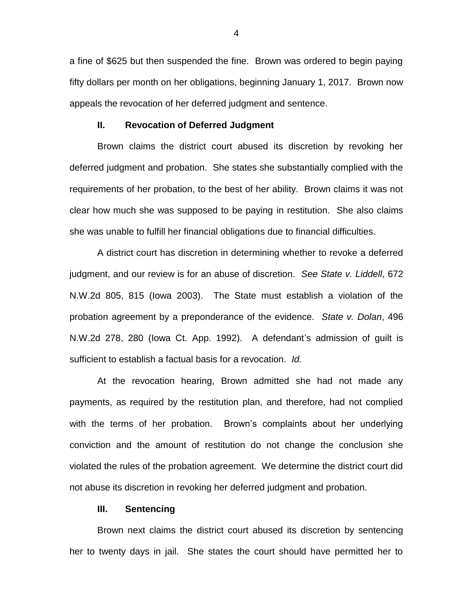a fine of \$625 but then suspended the fine. Brown was ordered to begin paying fifty dollars per month on her obligations, beginning January 1, 2017. Brown now appeals the revocation of her deferred judgment and sentence.

#### **II. Revocation of Deferred Judgment**

Brown claims the district court abused its discretion by revoking her deferred judgment and probation. She states she substantially complied with the requirements of her probation, to the best of her ability. Brown claims it was not clear how much she was supposed to be paying in restitution. She also claims she was unable to fulfill her financial obligations due to financial difficulties.

A district court has discretion in determining whether to revoke a deferred judgment, and our review is for an abuse of discretion. *See State v. Liddell*, 672 N.W.2d 805, 815 (Iowa 2003). The State must establish a violation of the probation agreement by a preponderance of the evidence. *State v. Dolan*, 496 N.W.2d 278, 280 (Iowa Ct. App. 1992). A defendant's admission of guilt is sufficient to establish a factual basis for a revocation. *Id.*

At the revocation hearing, Brown admitted she had not made any payments, as required by the restitution plan, and therefore, had not complied with the terms of her probation. Brown's complaints about her underlying conviction and the amount of restitution do not change the conclusion she violated the rules of the probation agreement. We determine the district court did not abuse its discretion in revoking her deferred judgment and probation.

#### **III. Sentencing**

Brown next claims the district court abused its discretion by sentencing her to twenty days in jail. She states the court should have permitted her to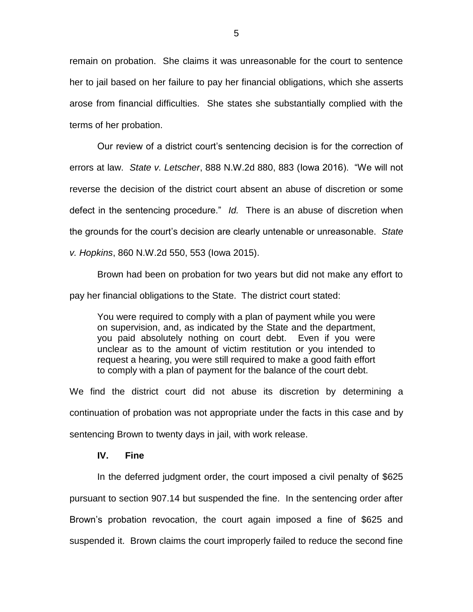remain on probation. She claims it was unreasonable for the court to sentence her to jail based on her failure to pay her financial obligations, which she asserts arose from financial difficulties. She states she substantially complied with the terms of her probation.

Our review of a district court's sentencing decision is for the correction of errors at law. *State v. Letscher*, 888 N.W.2d 880, 883 (Iowa 2016). "We will not reverse the decision of the district court absent an abuse of discretion or some defect in the sentencing procedure." *Id.* There is an abuse of discretion when the grounds for the court's decision are clearly untenable or unreasonable. *State v. Hopkins*, 860 N.W.2d 550, 553 (Iowa 2015).

Brown had been on probation for two years but did not make any effort to pay her financial obligations to the State. The district court stated:

You were required to comply with a plan of payment while you were on supervision, and, as indicated by the State and the department, you paid absolutely nothing on court debt. Even if you were unclear as to the amount of victim restitution or you intended to request a hearing, you were still required to make a good faith effort to comply with a plan of payment for the balance of the court debt.

We find the district court did not abuse its discretion by determining a continuation of probation was not appropriate under the facts in this case and by sentencing Brown to twenty days in jail, with work release.

#### **IV. Fine**

In the deferred judgment order, the court imposed a civil penalty of \$625 pursuant to section 907.14 but suspended the fine. In the sentencing order after Brown's probation revocation, the court again imposed a fine of \$625 and suspended it. Brown claims the court improperly failed to reduce the second fine